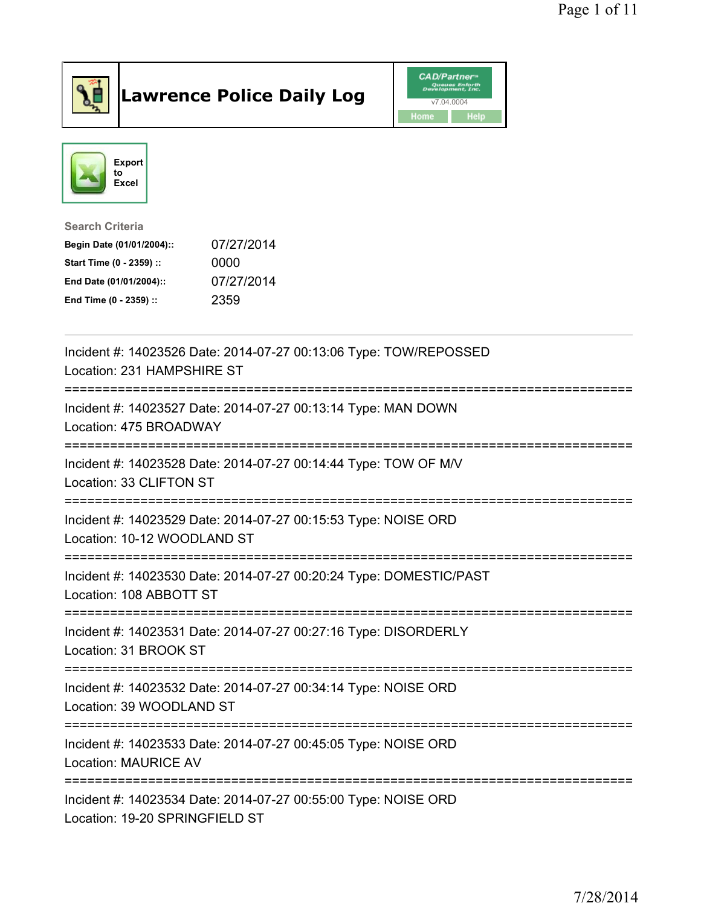

## Lawrence Police Daily Log Value of the CAD/Partner





Search Criteria

| Begin Date (01/01/2004):: | 07/27/2014 |
|---------------------------|------------|
| Start Time (0 - 2359) ::  | 0000       |
| End Date (01/01/2004)::   | 07/27/2014 |
| End Time (0 - 2359) ::    | 2359       |

| Incident #: 14023526 Date: 2014-07-27 00:13:06 Type: TOW/REPOSSED<br>Location: 231 HAMPSHIRE ST                           |
|---------------------------------------------------------------------------------------------------------------------------|
| Incident #: 14023527 Date: 2014-07-27 00:13:14 Type: MAN DOWN<br>Location: 475 BROADWAY                                   |
| Incident #: 14023528 Date: 2014-07-27 00:14:44 Type: TOW OF M/V<br>Location: 33 CLIFTON ST                                |
| Incident #: 14023529 Date: 2014-07-27 00:15:53 Type: NOISE ORD<br>Location: 10-12 WOODLAND ST                             |
| Incident #: 14023530 Date: 2014-07-27 00:20:24 Type: DOMESTIC/PAST<br>Location: 108 ABBOTT ST                             |
| Incident #: 14023531 Date: 2014-07-27 00:27:16 Type: DISORDERLY<br>Location: 31 BROOK ST<br>============================= |
| Incident #: 14023532 Date: 2014-07-27 00:34:14 Type: NOISE ORD<br>Location: 39 WOODLAND ST<br>:==================         |
| Incident #: 14023533 Date: 2014-07-27 00:45:05 Type: NOISE ORD<br><b>Location: MAURICE AV</b>                             |
| Incident #: 14023534 Date: 2014-07-27 00:55:00 Type: NOISE ORD<br>Location: 19-20 SPRINGFIELD ST                          |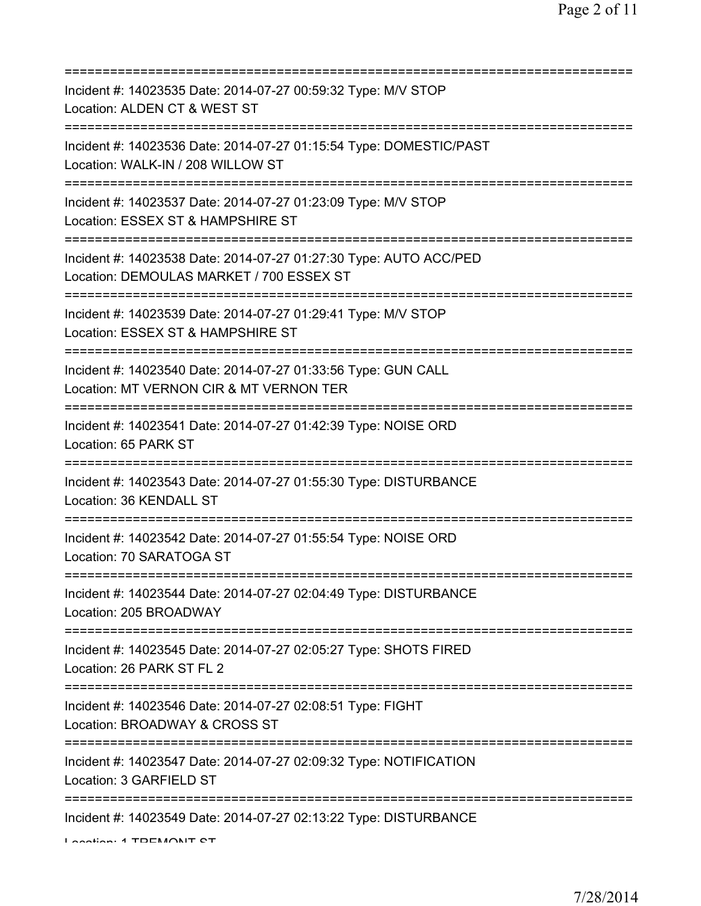| Incident #: 14023535 Date: 2014-07-27 00:59:32 Type: M/V STOP<br>Location: ALDEN CT & WEST ST                                |
|------------------------------------------------------------------------------------------------------------------------------|
| Incident #: 14023536 Date: 2014-07-27 01:15:54 Type: DOMESTIC/PAST<br>Location: WALK-IN / 208 WILLOW ST                      |
| Incident #: 14023537 Date: 2014-07-27 01:23:09 Type: M/V STOP<br>Location: ESSEX ST & HAMPSHIRE ST                           |
| Incident #: 14023538 Date: 2014-07-27 01:27:30 Type: AUTO ACC/PED<br>Location: DEMOULAS MARKET / 700 ESSEX ST                |
| Incident #: 14023539 Date: 2014-07-27 01:29:41 Type: M/V STOP<br>Location: ESSEX ST & HAMPSHIRE ST<br>---------------        |
| Incident #: 14023540 Date: 2014-07-27 01:33:56 Type: GUN CALL<br>Location: MT VERNON CIR & MT VERNON TER                     |
| Incident #: 14023541 Date: 2014-07-27 01:42:39 Type: NOISE ORD<br>Location: 65 PARK ST                                       |
| Incident #: 14023543 Date: 2014-07-27 01:55:30 Type: DISTURBANCE<br>Location: 36 KENDALL ST                                  |
| Incident #: 14023542 Date: 2014-07-27 01:55:54 Type: NOISE ORD<br>Location: 70 SARATOGA ST                                   |
| Incident #: 14023544 Date: 2014-07-27 02:04:49 Type: DISTURBANCE<br>Location: 205 BROADWAY                                   |
| Incident #: 14023545 Date: 2014-07-27 02:05:27 Type: SHOTS FIRED<br>Location: 26 PARK ST FL 2                                |
| Incident #: 14023546 Date: 2014-07-27 02:08:51 Type: FIGHT<br>Location: BROADWAY & CROSS ST                                  |
| ============================<br>Incident #: 14023547 Date: 2014-07-27 02:09:32 Type: NOTIFICATION<br>Location: 3 GARFIELD ST |
| Incident #: 14023549 Date: 2014-07-27 02:13:22 Type: DISTURBANCE<br>Lootion: 4 TDEMONIT CT                                   |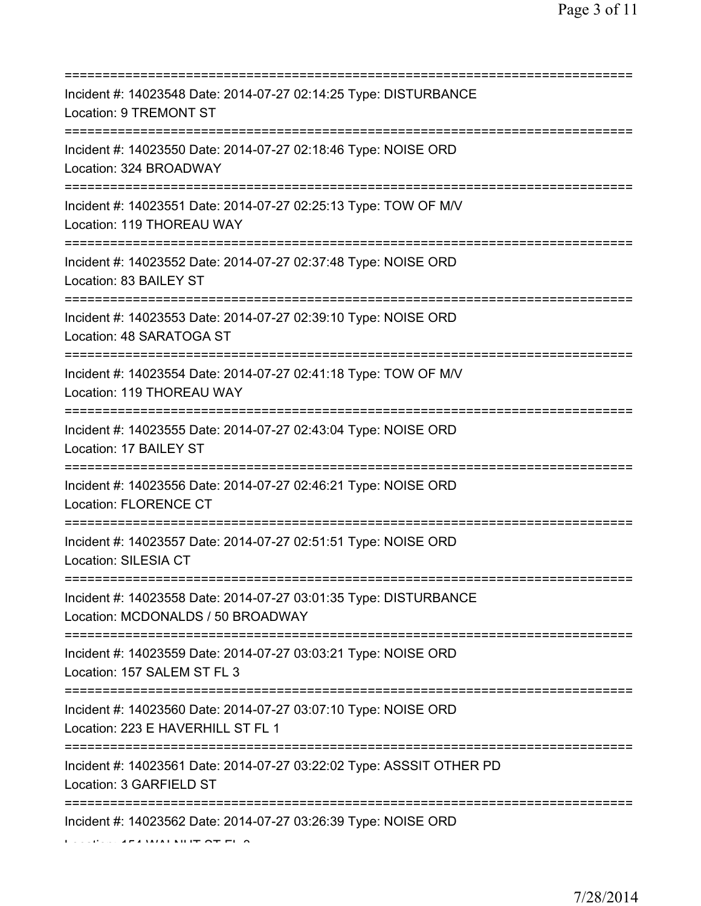| Incident #: 14023548 Date: 2014-07-27 02:14:25 Type: DISTURBANCE<br>Location: 9 TREMONT ST                              |
|-------------------------------------------------------------------------------------------------------------------------|
| Incident #: 14023550 Date: 2014-07-27 02:18:46 Type: NOISE ORD<br>Location: 324 BROADWAY                                |
| Incident #: 14023551 Date: 2014-07-27 02:25:13 Type: TOW OF M/V<br>Location: 119 THOREAU WAY                            |
| Incident #: 14023552 Date: 2014-07-27 02:37:48 Type: NOISE ORD<br>Location: 83 BAILEY ST                                |
| Incident #: 14023553 Date: 2014-07-27 02:39:10 Type: NOISE ORD<br>Location: 48 SARATOGA ST                              |
| Incident #: 14023554 Date: 2014-07-27 02:41:18 Type: TOW OF M/V<br>Location: 119 THOREAU WAY                            |
| Incident #: 14023555 Date: 2014-07-27 02:43:04 Type: NOISE ORD<br>Location: 17 BAILEY ST<br>=========================== |
| Incident #: 14023556 Date: 2014-07-27 02:46:21 Type: NOISE ORD<br>Location: FLORENCE CT                                 |
| Incident #: 14023557 Date: 2014-07-27 02:51:51 Type: NOISE ORD<br>Location: SILESIA CT                                  |
| Incident #: 14023558 Date: 2014-07-27 03:01:35 Type: DISTURBANCE<br>Location: MCDONALDS / 50 BROADWAY                   |
| Incident #: 14023559 Date: 2014-07-27 03:03:21 Type: NOISE ORD<br>Location: 157 SALEM ST FL 3                           |
| Incident #: 14023560 Date: 2014-07-27 03:07:10 Type: NOISE ORD<br>Location: 223 E HAVERHILL ST FL 1                     |
| Incident #: 14023561 Date: 2014-07-27 03:22:02 Type: ASSSIT OTHER PD<br>Location: 3 GARFIELD ST                         |
| Incident #: 14023562 Date: 2014-07-27 03:26:39 Type: NOISE ORD                                                          |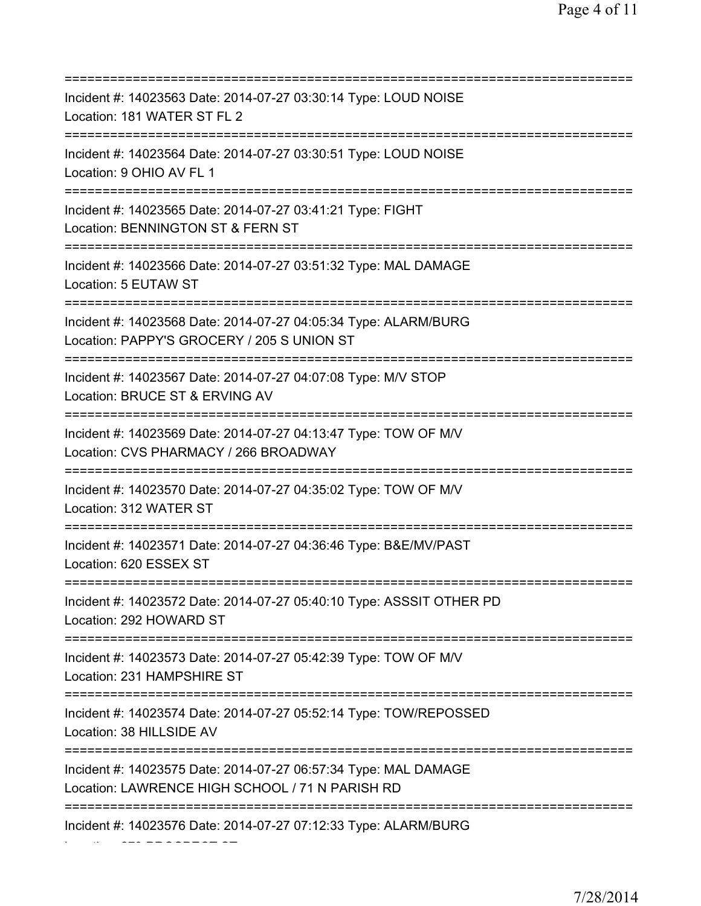| Incident #: 14023563 Date: 2014-07-27 03:30:14 Type: LOUD NOISE<br>Location: 181 WATER ST FL 2<br>====================                                      |
|-------------------------------------------------------------------------------------------------------------------------------------------------------------|
| Incident #: 14023564 Date: 2014-07-27 03:30:51 Type: LOUD NOISE<br>Location: 9 OHIO AV FL 1                                                                 |
| Incident #: 14023565 Date: 2014-07-27 03:41:21 Type: FIGHT<br>Location: BENNINGTON ST & FERN ST<br>=======================                                  |
| Incident #: 14023566 Date: 2014-07-27 03:51:32 Type: MAL DAMAGE<br>Location: 5 EUTAW ST                                                                     |
| Incident #: 14023568 Date: 2014-07-27 04:05:34 Type: ALARM/BURG<br>Location: PAPPY'S GROCERY / 205 S UNION ST                                               |
| Incident #: 14023567 Date: 2014-07-27 04:07:08 Type: M/V STOP<br>Location: BRUCE ST & ERVING AV<br>=====================================                    |
| Incident #: 14023569 Date: 2014-07-27 04:13:47 Type: TOW OF M/V<br>Location: CVS PHARMACY / 266 BROADWAY                                                    |
| :===============<br>Incident #: 14023570 Date: 2014-07-27 04:35:02 Type: TOW OF M/V<br>Location: 312 WATER ST                                               |
| Incident #: 14023571 Date: 2014-07-27 04:36:46 Type: B&E/MV/PAST<br>Location: 620 ESSEX ST                                                                  |
| Incident #: 14023572 Date: 2014-07-27 05:40:10 Type: ASSSIT OTHER PD<br>Location: 292 HOWARD ST                                                             |
| Incident #: 14023573 Date: 2014-07-27 05:42:39 Type: TOW OF M/V<br>Location: 231 HAMPSHIRE ST                                                               |
| Incident #: 14023574 Date: 2014-07-27 05:52:14 Type: TOW/REPOSSED<br>Location: 38 HILLSIDE AV                                                               |
| =====================================<br>Incident #: 14023575 Date: 2014-07-27 06:57:34 Type: MAL DAMAGE<br>Location: LAWRENCE HIGH SCHOOL / 71 N PARISH RD |
| Incident #: 14023576 Date: 2014-07-27 07:12:33 Type: ALARM/BURG                                                                                             |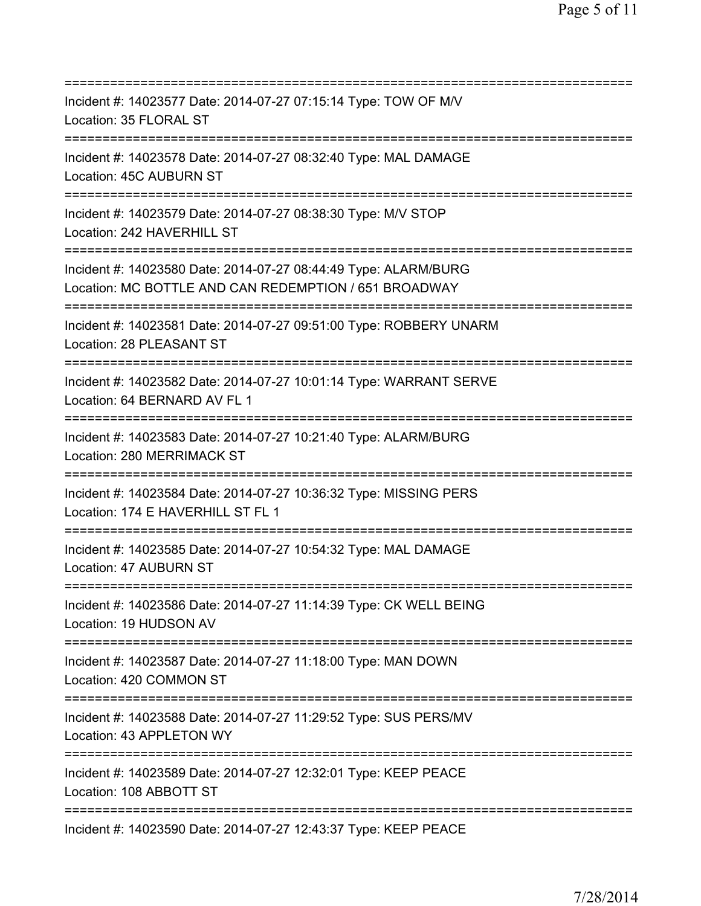=========================================================================== Incident #: 14023577 Date: 2014-07-27 07:15:14 Type: TOW OF M/V Location: 35 FLORAL ST =========================================================================== Incident #: 14023578 Date: 2014-07-27 08:32:40 Type: MAL DAMAGE Location: 45C AUBURN ST =========================================================================== Incident #: 14023579 Date: 2014-07-27 08:38:30 Type: M/V STOP Location: 242 HAVERHILL ST =========================================================================== Incident #: 14023580 Date: 2014-07-27 08:44:49 Type: ALARM/BURG Location: MC BOTTLE AND CAN REDEMPTION / 651 BROADWAY =========================================================================== Incident #: 14023581 Date: 2014-07-27 09:51:00 Type: ROBBERY UNARM Location: 28 PLEASANT ST =========================================================================== Incident #: 14023582 Date: 2014-07-27 10:01:14 Type: WARRANT SERVE Location: 64 BERNARD AV FL 1 =========================================================================== Incident #: 14023583 Date: 2014-07-27 10:21:40 Type: ALARM/BURG Location: 280 MERRIMACK ST =========================================================================== Incident #: 14023584 Date: 2014-07-27 10:36:32 Type: MISSING PERS Location: 174 E HAVERHILL ST FL 1 =========================================================================== Incident #: 14023585 Date: 2014-07-27 10:54:32 Type: MAL DAMAGE Location: 47 AUBURN ST =========================================================================== Incident #: 14023586 Date: 2014-07-27 11:14:39 Type: CK WELL BEING Location: 19 HUDSON AV =========================================================================== Incident #: 14023587 Date: 2014-07-27 11:18:00 Type: MAN DOWN Location: 420 COMMON ST =========================================================================== Incident #: 14023588 Date: 2014-07-27 11:29:52 Type: SUS PERS/MV Location: 43 APPLETON WY =========================================================================== Incident #: 14023589 Date: 2014-07-27 12:32:01 Type: KEEP PEACE Location: 108 ABBOTT ST =========================================================================== Incident #: 14023590 Date: 2014-07-27 12:43:37 Type: KEEP PEACE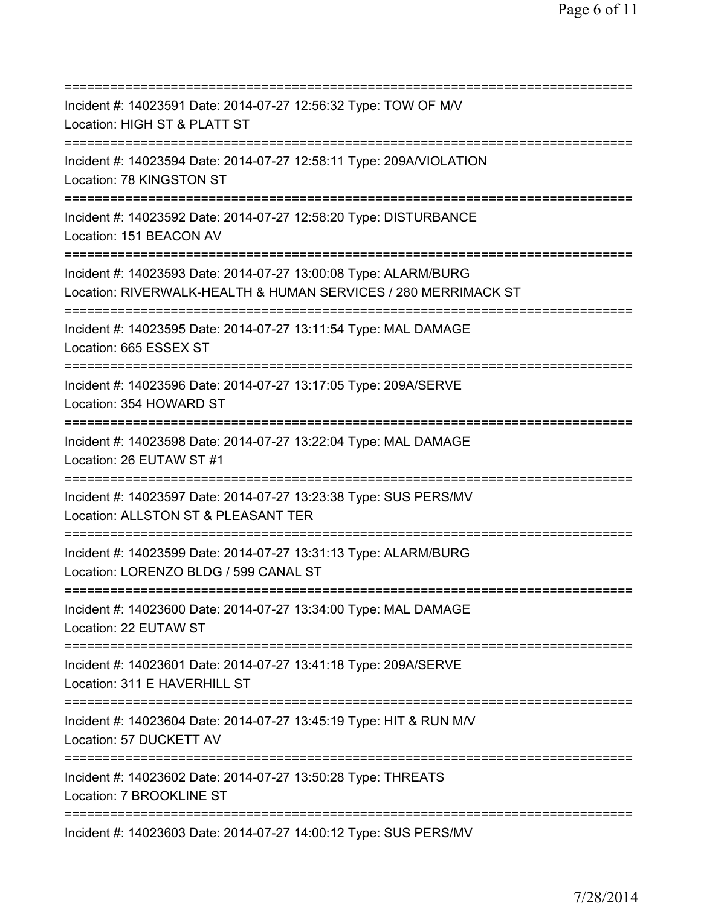| Incident #: 14023591 Date: 2014-07-27 12:56:32 Type: TOW OF M/V<br>Location: HIGH ST & PLATT ST                                                     |
|-----------------------------------------------------------------------------------------------------------------------------------------------------|
| ======================<br>Incident #: 14023594 Date: 2014-07-27 12:58:11 Type: 209A/VIOLATION<br>Location: 78 KINGSTON ST<br>====================== |
| Incident #: 14023592 Date: 2014-07-27 12:58:20 Type: DISTURBANCE<br>Location: 151 BEACON AV                                                         |
| Incident #: 14023593 Date: 2014-07-27 13:00:08 Type: ALARM/BURG<br>Location: RIVERWALK-HEALTH & HUMAN SERVICES / 280 MERRIMACK ST                   |
| Incident #: 14023595 Date: 2014-07-27 13:11:54 Type: MAL DAMAGE<br>Location: 665 ESSEX ST<br>================================                       |
| Incident #: 14023596 Date: 2014-07-27 13:17:05 Type: 209A/SERVE<br>Location: 354 HOWARD ST                                                          |
| Incident #: 14023598 Date: 2014-07-27 13:22:04 Type: MAL DAMAGE<br>Location: 26 EUTAW ST #1                                                         |
| Incident #: 14023597 Date: 2014-07-27 13:23:38 Type: SUS PERS/MV<br>Location: ALLSTON ST & PLEASANT TER                                             |
| Incident #: 14023599 Date: 2014-07-27 13:31:13 Type: ALARM/BURG<br>Location: LORENZO BLDG / 599 CANAL ST                                            |
| Incident #: 14023600 Date: 2014-07-27 13:34:00 Type: MAL DAMAGE<br>Location: 22 EUTAW ST                                                            |
| Incident #: 14023601 Date: 2014-07-27 13:41:18 Type: 209A/SERVE<br>Location: 311 E HAVERHILL ST                                                     |
| Incident #: 14023604 Date: 2014-07-27 13:45:19 Type: HIT & RUN M/V<br>Location: 57 DUCKETT AV                                                       |
| Incident #: 14023602 Date: 2014-07-27 13:50:28 Type: THREATS<br>Location: 7 BROOKLINE ST                                                            |
| =====================<br>Incident #: 14023603 Date: 2014-07-27 14:00:12 Type: SUS PERS/MV                                                           |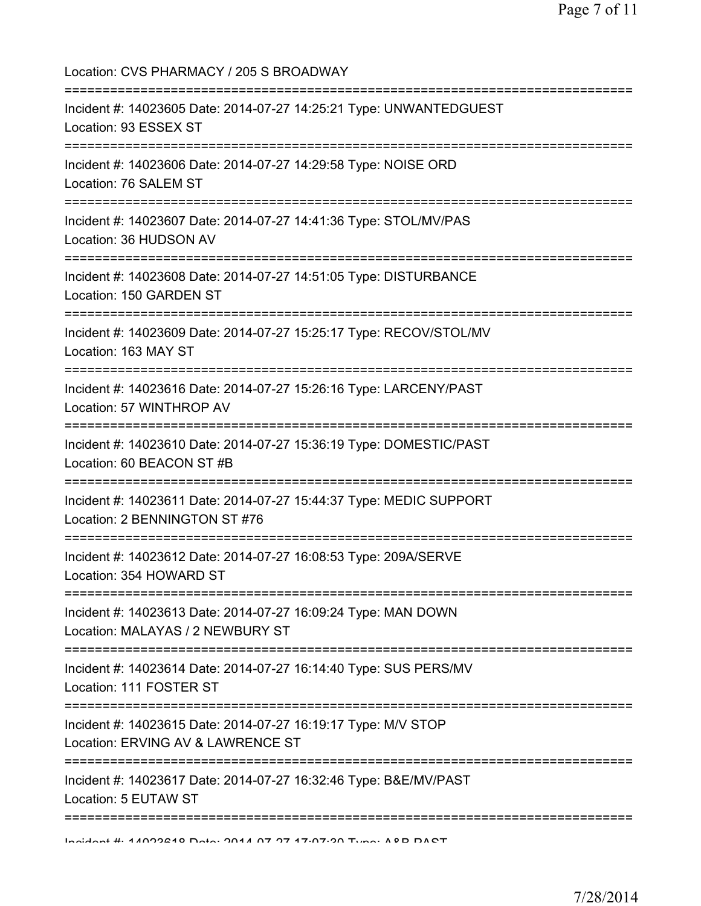Location: CVS PHARMACY / 205 S BROADWAY =========================================================================== Incident #: 14023605 Date: 2014-07-27 14:25:21 Type: UNWANTEDGUEST Location: 93 ESSEX ST =========================================================================== Incident #: 14023606 Date: 2014-07-27 14:29:58 Type: NOISE ORD Location: 76 SALEM ST =========================================================================== Incident #: 14023607 Date: 2014-07-27 14:41:36 Type: STOL/MV/PAS Location: 36 HUDSON AV =========================================================================== Incident #: 14023608 Date: 2014-07-27 14:51:05 Type: DISTURBANCE Location: 150 GARDEN ST =========================================================================== Incident #: 14023609 Date: 2014-07-27 15:25:17 Type: RECOV/STOL/MV Location: 163 MAY ST =========================================================================== Incident #: 14023616 Date: 2014-07-27 15:26:16 Type: LARCENY/PAST Location: 57 WINTHROP AV =========================================================================== Incident #: 14023610 Date: 2014-07-27 15:36:19 Type: DOMESTIC/PAST Location: 60 BEACON ST #B =========================================================================== Incident #: 14023611 Date: 2014-07-27 15:44:37 Type: MEDIC SUPPORT Location: 2 BENNINGTON ST #76 =========================================================================== Incident #: 14023612 Date: 2014-07-27 16:08:53 Type: 209A/SERVE Location: 354 HOWARD ST =========================================================================== Incident #: 14023613 Date: 2014-07-27 16:09:24 Type: MAN DOWN Location: MALAYAS / 2 NEWBURY ST =========================================================================== Incident #: 14023614 Date: 2014-07-27 16:14:40 Type: SUS PERS/MV Location: 111 FOSTER ST =========================================================================== Incident #: 14023615 Date: 2014-07-27 16:19:17 Type: M/V STOP Location: ERVING AV & LAWRENCE ST =========================================================================== Incident #: 14023617 Date: 2014-07-27 16:32:46 Type: B&E/MV/PAST Location: 5 EUTAW ST ===========================================================================

Incident #: 14023618 Date: 2014 07 27 17:07:30 Type: A&B PAST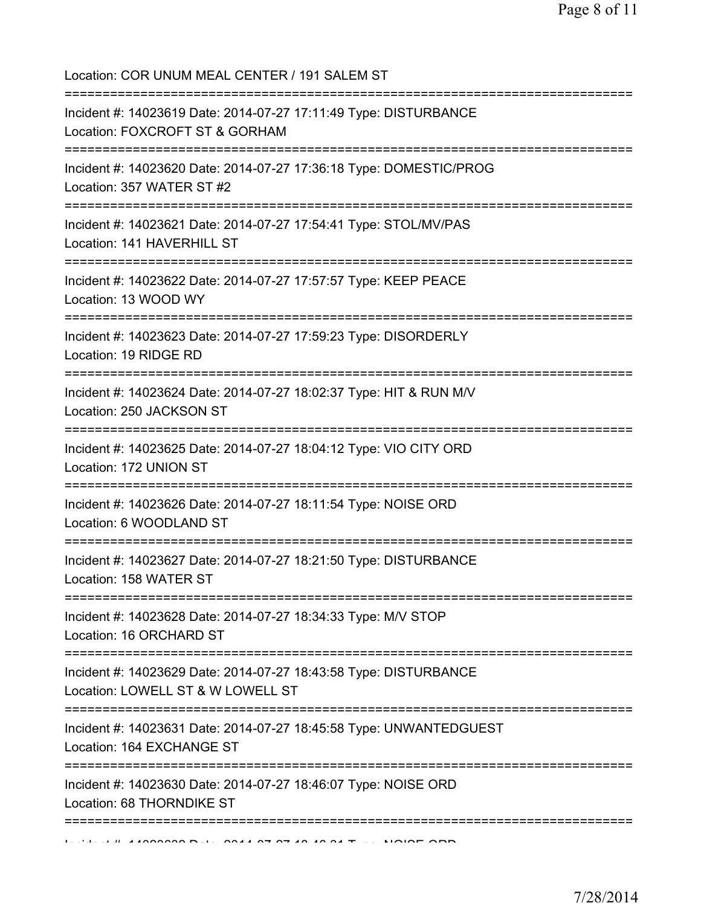Location: COR UNUM MEAL CENTER / 191 SALEM ST =========================================================================== Incident #: 14023619 Date: 2014-07-27 17:11:49 Type: DISTURBANCE Location: FOXCROFT ST & GORHAM =========================================================================== Incident #: 14023620 Date: 2014-07-27 17:36:18 Type: DOMESTIC/PROG Location: 357 WATER ST #2 =========================================================================== Incident #: 14023621 Date: 2014-07-27 17:54:41 Type: STOL/MV/PAS Location: 141 HAVERHILL ST =========================================================================== Incident #: 14023622 Date: 2014-07-27 17:57:57 Type: KEEP PEACE Location: 13 WOOD WY =========================================================================== Incident #: 14023623 Date: 2014-07-27 17:59:23 Type: DISORDERLY Location: 19 RIDGE RD =========================================================================== Incident #: 14023624 Date: 2014-07-27 18:02:37 Type: HIT & RUN M/V Location: 250 JACKSON ST =========================================================================== Incident #: 14023625 Date: 2014-07-27 18:04:12 Type: VIO CITY ORD Location: 172 UNION ST =========================================================================== Incident #: 14023626 Date: 2014-07-27 18:11:54 Type: NOISE ORD Location: 6 WOODLAND ST =========================================================================== Incident #: 14023627 Date: 2014-07-27 18:21:50 Type: DISTURBANCE Location: 158 WATER ST =========================================================================== Incident #: 14023628 Date: 2014-07-27 18:34:33 Type: M/V STOP Location: 16 ORCHARD ST =========================================================================== Incident #: 14023629 Date: 2014-07-27 18:43:58 Type: DISTURBANCE Location: LOWELL ST & W LOWELL ST =========================================================================== Incident #: 14023631 Date: 2014-07-27 18:45:58 Type: UNWANTEDGUEST Location: 164 EXCHANGE ST =========================================================================== Incident #: 14023630 Date: 2014-07-27 18:46:07 Type: NOISE ORD Location: 68 THORNDIKE ST ===========================================================================  $11.41000000000001232074040017...$ NOISE ORD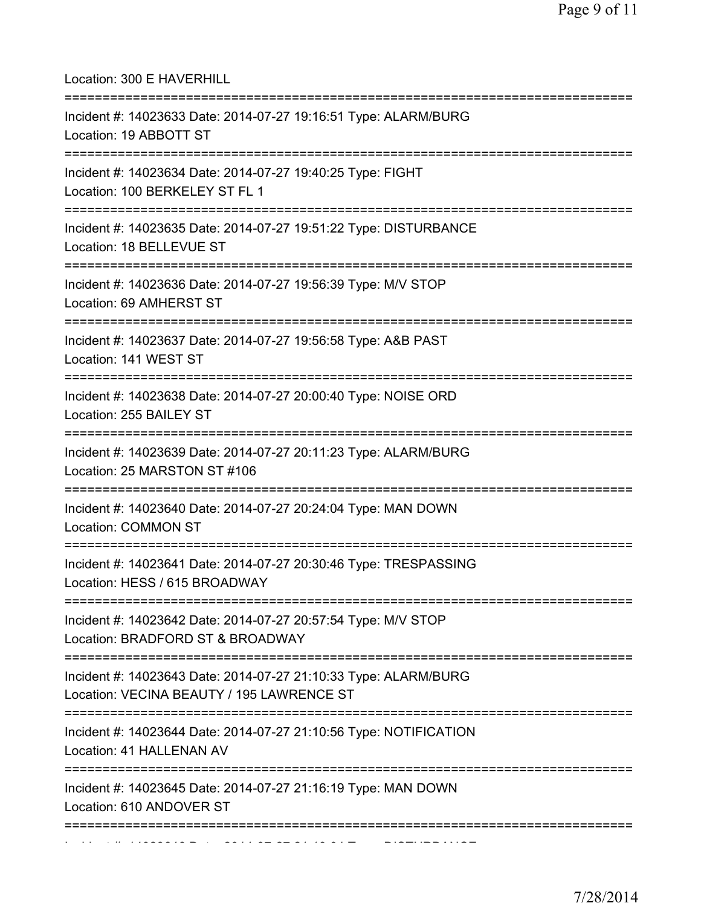| Location: 300 E HAVERHILL<br>===================                                                             |
|--------------------------------------------------------------------------------------------------------------|
| Incident #: 14023633 Date: 2014-07-27 19:16:51 Type: ALARM/BURG<br>Location: 19 ABBOTT ST                    |
| Incident #: 14023634 Date: 2014-07-27 19:40:25 Type: FIGHT<br>Location: 100 BERKELEY ST FL 1                 |
| Incident #: 14023635 Date: 2014-07-27 19:51:22 Type: DISTURBANCE<br>Location: 18 BELLEVUE ST                 |
| Incident #: 14023636 Date: 2014-07-27 19:56:39 Type: M/V STOP<br>Location: 69 AMHERST ST                     |
| Incident #: 14023637 Date: 2014-07-27 19:56:58 Type: A&B PAST<br>Location: 141 WEST ST                       |
| Incident #: 14023638 Date: 2014-07-27 20:00:40 Type: NOISE ORD<br>Location: 255 BAILEY ST                    |
| Incident #: 14023639 Date: 2014-07-27 20:11:23 Type: ALARM/BURG<br>Location: 25 MARSTON ST #106              |
| Incident #: 14023640 Date: 2014-07-27 20:24:04 Type: MAN DOWN<br>Location: COMMON ST                         |
| Incident #: 14023641 Date: 2014-07-27 20:30:46 Type: TRESPASSING<br>Location: HESS / 615 BROADWAY            |
| Incident #: 14023642 Date: 2014-07-27 20:57:54 Type: M/V STOP<br>Location: BRADFORD ST & BROADWAY            |
| Incident #: 14023643 Date: 2014-07-27 21:10:33 Type: ALARM/BURG<br>Location: VECINA BEAUTY / 195 LAWRENCE ST |
| Incident #: 14023644 Date: 2014-07-27 21:10:56 Type: NOTIFICATION<br>Location: 41 HALLENAN AV                |
| Incident #: 14023645 Date: 2014-07-27 21:16:19 Type: MAN DOWN<br>Location: 610 ANDOVER ST                    |
|                                                                                                              |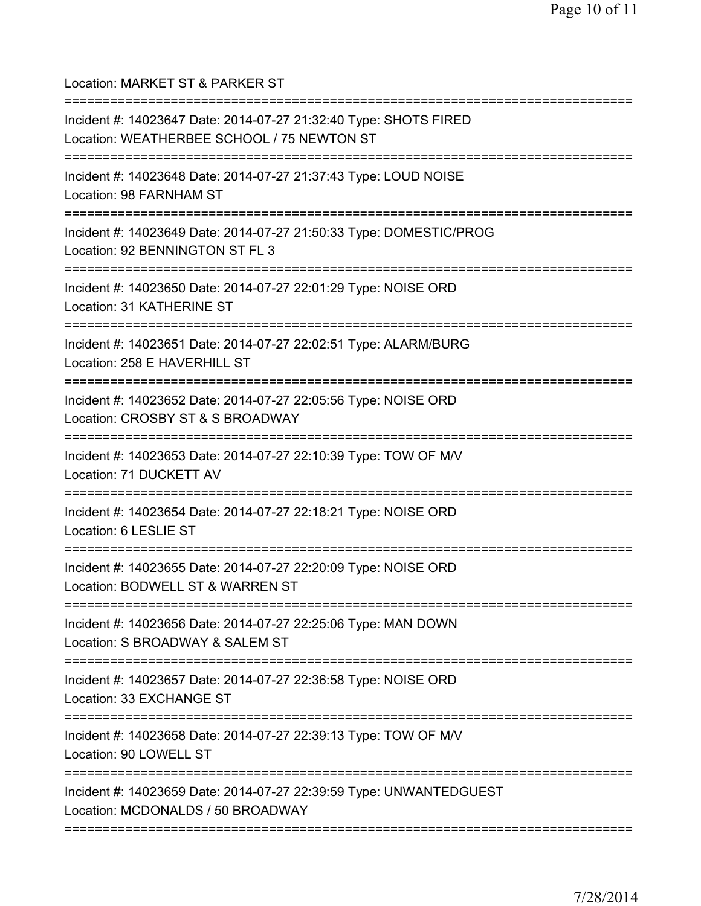Location: MARKET ST & PARKER ST

| Incident #: 14023647 Date: 2014-07-27 21:32:40 Type: SHOTS FIRED<br>Location: WEATHERBEE SCHOOL / 75 NEWTON ST                    |
|-----------------------------------------------------------------------------------------------------------------------------------|
| Incident #: 14023648 Date: 2014-07-27 21:37:43 Type: LOUD NOISE<br>Location: 98 FARNHAM ST<br>=================================== |
| Incident #: 14023649 Date: 2014-07-27 21:50:33 Type: DOMESTIC/PROG<br>Location: 92 BENNINGTON ST FL 3                             |
| Incident #: 14023650 Date: 2014-07-27 22:01:29 Type: NOISE ORD<br>Location: 31 KATHERINE ST                                       |
| Incident #: 14023651 Date: 2014-07-27 22:02:51 Type: ALARM/BURG<br>Location: 258 E HAVERHILL ST                                   |
| Incident #: 14023652 Date: 2014-07-27 22:05:56 Type: NOISE ORD<br>Location: CROSBY ST & S BROADWAY                                |
| Incident #: 14023653 Date: 2014-07-27 22:10:39 Type: TOW OF M/V<br>Location: 71 DUCKETT AV                                        |
| Incident #: 14023654 Date: 2014-07-27 22:18:21 Type: NOISE ORD<br>Location: 6 LESLIE ST                                           |
| Incident #: 14023655 Date: 2014-07-27 22:20:09 Type: NOISE ORD<br>Location: BODWELL ST & WARREN ST                                |
| Incident #: 14023656 Date: 2014-07-27 22:25:06 Type: MAN DOWN<br>Location: S BROADWAY & SALEM ST                                  |
| Incident #: 14023657 Date: 2014-07-27 22:36:58 Type: NOISE ORD<br>Location: 33 EXCHANGE ST                                        |
| ============================<br>Incident #: 14023658 Date: 2014-07-27 22:39:13 Type: TOW OF M/V<br>Location: 90 LOWELL ST         |
| Incident #: 14023659 Date: 2014-07-27 22:39:59 Type: UNWANTEDGUEST<br>Location: MCDONALDS / 50 BROADWAY                           |
|                                                                                                                                   |